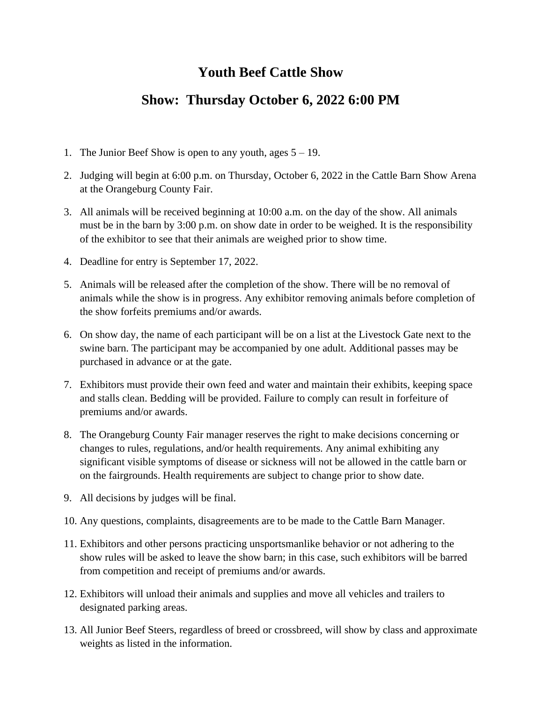### **Youth Beef Cattle Show**

#### **Show: Thursday October 6, 2022 6:00 PM**

- 1. The Junior Beef Show is open to any youth, ages  $5 19$ .
- 2. Judging will begin at 6:00 p.m. on Thursday, October 6, 2022 in the Cattle Barn Show Arena at the Orangeburg County Fair.
- 3. All animals will be received beginning at 10:00 a.m. on the day of the show. All animals must be in the barn by 3:00 p.m. on show date in order to be weighed. It is the responsibility of the exhibitor to see that their animals are weighed prior to show time.
- 4. Deadline for entry is September 17, 2022.
- 5. Animals will be released after the completion of the show. There will be no removal of animals while the show is in progress. Any exhibitor removing animals before completion of the show forfeits premiums and/or awards.
- 6. On show day, the name of each participant will be on a list at the Livestock Gate next to the swine barn. The participant may be accompanied by one adult. Additional passes may be purchased in advance or at the gate.
- 7. Exhibitors must provide their own feed and water and maintain their exhibits, keeping space and stalls clean. Bedding will be provided. Failure to comply can result in forfeiture of premiums and/or awards.
- 8. The Orangeburg County Fair manager reserves the right to make decisions concerning or changes to rules, regulations, and/or health requirements. Any animal exhibiting any significant visible symptoms of disease or sickness will not be allowed in the cattle barn or on the fairgrounds. Health requirements are subject to change prior to show date.
- 9. All decisions by judges will be final.
- 10. Any questions, complaints, disagreements are to be made to the Cattle Barn Manager.
- 11. Exhibitors and other persons practicing unsportsmanlike behavior or not adhering to the show rules will be asked to leave the show barn; in this case, such exhibitors will be barred from competition and receipt of premiums and/or awards.
- 12. Exhibitors will unload their animals and supplies and move all vehicles and trailers to designated parking areas.
- 13. All Junior Beef Steers, regardless of breed or crossbreed, will show by class and approximate weights as listed in the information.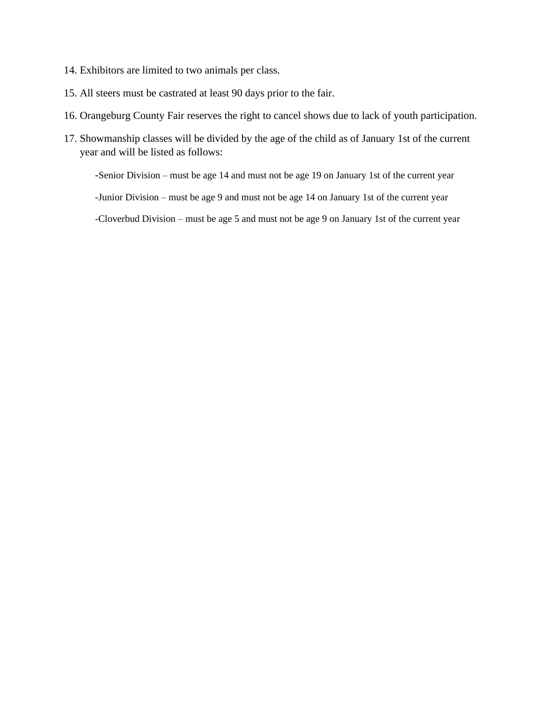- 14. Exhibitors are limited to two animals per class.
- 15. All steers must be castrated at least 90 days prior to the fair.
- 16. Orangeburg County Fair reserves the right to cancel shows due to lack of youth participation.
- 17. Showmanship classes will be divided by the age of the child as of January 1st of the current year and will be listed as follows:

-Senior Division – must be age 14 and must not be age 19 on January 1st of the current year

-Junior Division – must be age 9 and must not be age 14 on January 1st of the current year

-Cloverbud Division – must be age 5 and must not be age 9 on January 1st of the current year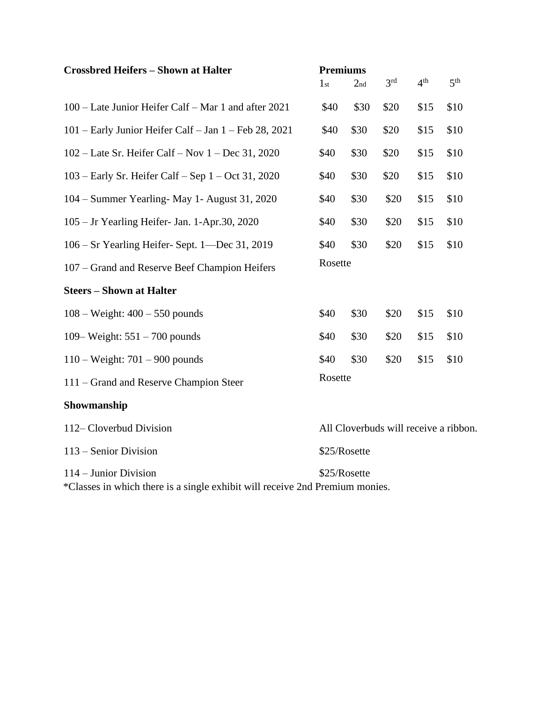| <b>Crossbred Heifers - Shown at Halter</b>                                                                            | <b>Premiums</b><br>1 <sub>st</sub>    | 2 <sub>nd</sub> | 3 <sup>rd</sup> | 4 <sup>th</sup> | 5 <sup>th</sup> |
|-----------------------------------------------------------------------------------------------------------------------|---------------------------------------|-----------------|-----------------|-----------------|-----------------|
| 100 – Late Junior Heifer Calf – Mar 1 and after 2021                                                                  | \$40                                  | \$30            | \$20            | \$15            | \$10            |
| 101 – Early Junior Heifer Calf – Jan 1 – Feb 28, 2021                                                                 | \$40                                  | \$30            | \$20            | \$15            | \$10            |
| 102 – Late Sr. Heifer Calf – Nov $1$ – Dec 31, 2020                                                                   | \$40                                  | \$30            | \$20            | \$15            | \$10            |
| $103$ – Early Sr. Heifer Calf – Sep 1 – Oct 31, 2020                                                                  | \$40                                  | \$30            | \$20            | \$15            | \$10            |
| 104 – Summer Yearling- May 1- August 31, 2020                                                                         | \$40                                  | \$30            | \$20            | \$15            | \$10            |
| 105 – Jr Yearling Heifer- Jan. 1-Apr.30, 2020                                                                         | \$40                                  | \$30            | \$20            | \$15            | \$10            |
| 106 – Sr Yearling Heifer-Sept. 1—Dec 31, 2019                                                                         | \$40                                  | \$30            | \$20            | \$15            | \$10            |
| 107 – Grand and Reserve Beef Champion Heifers                                                                         | Rosette                               |                 |                 |                 |                 |
| <b>Steers - Shown at Halter</b>                                                                                       |                                       |                 |                 |                 |                 |
| $108 - Weight: 400 - 550 pounds$                                                                                      | \$40                                  | \$30            | \$20            | \$15            | \$10            |
| 109– Weight: $551 - 700$ pounds                                                                                       | \$40                                  | \$30            | \$20            | \$15            | \$10            |
| $110 - Weight: 701 - 900 pounds$                                                                                      | \$40                                  | \$30            | \$20            | \$15            | \$10            |
| 111 – Grand and Reserve Champion Steer                                                                                | Rosette                               |                 |                 |                 |                 |
| Showmanship                                                                                                           |                                       |                 |                 |                 |                 |
| 112–Cloverbud Division                                                                                                | All Cloverbuds will receive a ribbon. |                 |                 |                 |                 |
| 113 – Senior Division                                                                                                 | \$25/Rosette                          |                 |                 |                 |                 |
| 114 – Junior Division<br>\$25/Rosette<br>*Classes in which there is a single exhibit will receive 2nd Premium monies. |                                       |                 |                 |                 |                 |